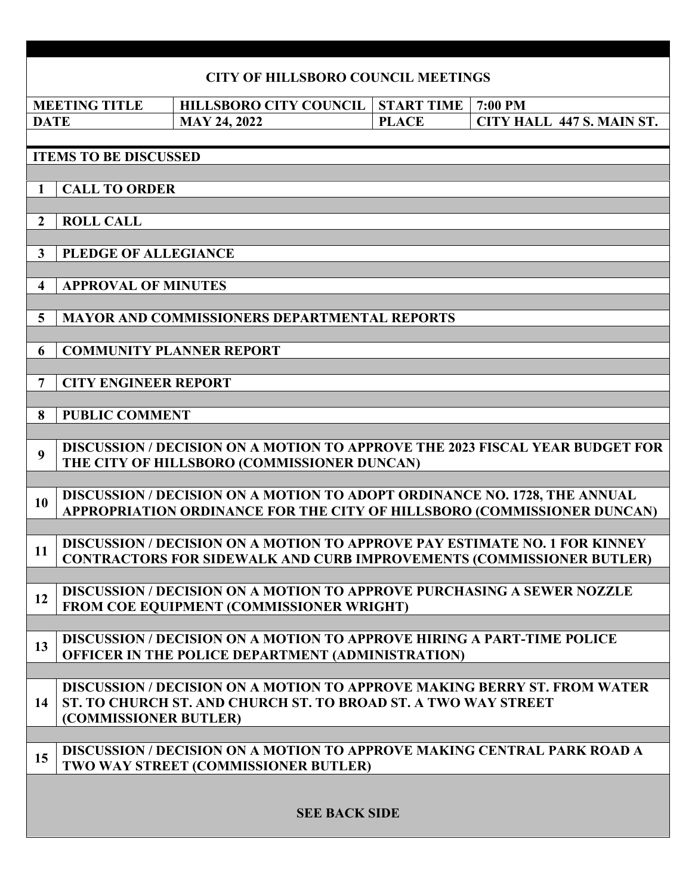|                                                                       |  |                                 |  |  |  |                     |  |  |  |                                                 |              | <b>CITY OF HILLSBORO COUNCIL MEETINGS</b>                                                                                                                        |  |         |  |                           |  |
|-----------------------------------------------------------------------|--|---------------------------------|--|--|--|---------------------|--|--|--|-------------------------------------------------|--------------|------------------------------------------------------------------------------------------------------------------------------------------------------------------|--|---------|--|---------------------------|--|
|                                                                       |  | <b>MEETING TITLE</b>            |  |  |  |                     |  |  |  | <b>HILLSBORO CITY COUNCIL</b>                   |              | <b>START TIME</b>                                                                                                                                                |  | 7:00 PM |  |                           |  |
| <b>DATE</b>                                                           |  |                                 |  |  |  | <b>MAY 24, 2022</b> |  |  |  |                                                 | <b>PLACE</b> |                                                                                                                                                                  |  |         |  | CITY HALL 447 S. MAIN ST. |  |
|                                                                       |  | <b>ITEMS TO BE DISCUSSED</b>    |  |  |  |                     |  |  |  |                                                 |              |                                                                                                                                                                  |  |         |  |                           |  |
| 1                                                                     |  | <b>CALL TO ORDER</b>            |  |  |  |                     |  |  |  |                                                 |              |                                                                                                                                                                  |  |         |  |                           |  |
| $\overline{2}$                                                        |  | <b>ROLL CALL</b>                |  |  |  |                     |  |  |  |                                                 |              |                                                                                                                                                                  |  |         |  |                           |  |
| $\mathbf{3}$                                                          |  | PLEDGE OF ALLEGIANCE            |  |  |  |                     |  |  |  |                                                 |              |                                                                                                                                                                  |  |         |  |                           |  |
| <b>APPROVAL OF MINUTES</b><br>$\overline{\mathbf{4}}$                 |  |                                 |  |  |  |                     |  |  |  |                                                 |              |                                                                                                                                                                  |  |         |  |                           |  |
| <b>MAYOR AND COMMISSIONERS DEPARTMENTAL REPORTS</b><br>$\overline{5}$ |  |                                 |  |  |  |                     |  |  |  |                                                 |              |                                                                                                                                                                  |  |         |  |                           |  |
| 6                                                                     |  | <b>COMMUNITY PLANNER REPORT</b> |  |  |  |                     |  |  |  |                                                 |              |                                                                                                                                                                  |  |         |  |                           |  |
| 7                                                                     |  | <b>CITY ENGINEER REPORT</b>     |  |  |  |                     |  |  |  |                                                 |              |                                                                                                                                                                  |  |         |  |                           |  |
| 8                                                                     |  | <b>PUBLIC COMMENT</b>           |  |  |  |                     |  |  |  |                                                 |              |                                                                                                                                                                  |  |         |  |                           |  |
| $\boldsymbol{9}$                                                      |  |                                 |  |  |  |                     |  |  |  | THE CITY OF HILLSBORO (COMMISSIONER DUNCAN)     |              | <b>DISCUSSION / DECISION ON A MOTION TO APPROVE THE 2023 FISCAL YEAR BUDGET FOR</b>                                                                              |  |         |  |                           |  |
| 10                                                                    |  |                                 |  |  |  |                     |  |  |  |                                                 |              | DISCUSSION / DECISION ON A MOTION TO ADOPT ORDINANCE NO. 1728, THE ANNUAL<br>APPROPRIATION ORDINANCE FOR THE CITY OF HILLSBORO (COMMISSIONER DUNCAN)             |  |         |  |                           |  |
| 11                                                                    |  |                                 |  |  |  |                     |  |  |  |                                                 |              | <b>DISCUSSION / DECISION ON A MOTION TO APPROVE PAY ESTIMATE NO. 1 FOR KINNEY</b><br><b>CONTRACTORS FOR SIDEWALK AND CURB IMPROVEMENTS (COMMISSIONER BUTLER)</b> |  |         |  |                           |  |
| 12                                                                    |  |                                 |  |  |  |                     |  |  |  | <b>FROM COE EQUIPMENT (COMMISSIONER WRIGHT)</b> |              | DISCUSSION / DECISION ON A MOTION TO APPROVE PURCHASING A SEWER NOZZLE                                                                                           |  |         |  |                           |  |
| 13                                                                    |  |                                 |  |  |  |                     |  |  |  |                                                 |              | <b>DISCUSSION / DECISION ON A MOTION TO APPROVE HIRING A PART-TIME POLICE</b><br>OFFICER IN THE POLICE DEPARTMENT (ADMINISTRATION)                               |  |         |  |                           |  |
| 14                                                                    |  | (COMMISSIONER BUTLER)           |  |  |  |                     |  |  |  |                                                 |              | DISCUSSION / DECISION ON A MOTION TO APPROVE MAKING BERRY ST. FROM WATER<br>ST. TO CHURCH ST. AND CHURCH ST. TO BROAD ST. A TWO WAY STREET                       |  |         |  |                           |  |
| 15                                                                    |  |                                 |  |  |  |                     |  |  |  | TWO WAY STREET (COMMISSIONER BUTLER)            |              | <b>DISCUSSION / DECISION ON A MOTION TO APPROVE MAKING CENTRAL PARK ROAD A</b>                                                                                   |  |         |  |                           |  |
|                                                                       |  |                                 |  |  |  |                     |  |  |  | <b>SEE BACK SIDE</b>                            |              |                                                                                                                                                                  |  |         |  |                           |  |